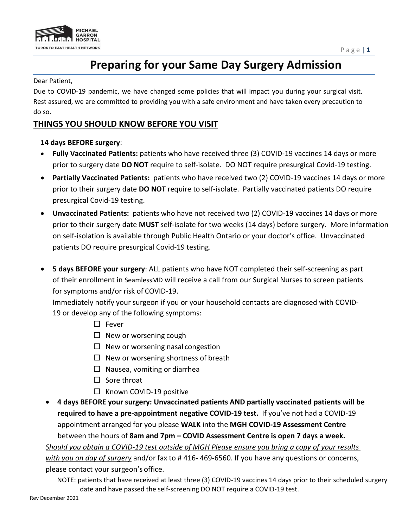

# **Preparing for your Same Day Surgery Admission**

#### Dear Patient,

Due to COVID-19 pandemic, we have changed some policies that will impact you during your surgical visit. Rest assured, we are committed to providing you with a safe environment and have taken every precaution to do so.

## **THINGS YOU SHOULD KNOW BEFORE YOU VISIT**

#### **14 days BEFORE surgery**:

- **Fully Vaccinated Patients:** patients who have received three (3) COVID-19 vaccines 14 days or more prior to surgery date **DO NOT** require to self-isolate. DO NOT require presurgical Covid-19 testing.
- **Partially Vaccinated Patients:** patients who have received two (2) COVID-19 vaccines 14 days or more prior to their surgery date **DO NOT** require to self-isolate. Partially vaccinated patients DO require presurgical Covid-19 testing.
- **Unvaccinated Patients:** patients who have not received two (2) COVID-19 vaccines 14 days or more prior to their surgery date **MUST** self-isolate for two weeks (14 days) before surgery. More information on self-isolation is available through Public Health Ontario or your doctor's office. Unvaccinated patients DO require presurgical Covid-19 testing.
- **5 days BEFORE your surgery**: ALL patients who have NOT completed their self-screening as part of their enrollment in SeamlessMD will receive a call from our Surgical Nurses to screen patients for symptoms and/or risk of COVID-19.

Immediately notify your surgeon if you or your household contacts are diagnosed with COVID-19 or develop any of the following symptoms:

- $\square$  Fever
- $\Box$  New or worsening cough
- $\Box$  New or worsening nasal congestion
- $\Box$  New or worsening shortness of breath
- $\Box$  Nausea, vomiting or diarrhea
- $\Box$  Sore throat
- $\Box$  Known COVID-19 positive
- **4 days BEFORE your surgery: Unvaccinated patients AND partially vaccinated patients will be required to have a pre-appointment negative COVID-19 test.** If you've not had a COVID-19 appointment arranged for you please **WALK** into the **MGH COVID-19 Assessment Centre**  between the hours of **8am and 7pm – COVID Assessment Centre is open 7 days a week.**  *Should you obtain a COVID-19 test outside of MGH Please ensure you bring a copy of your results*

*with you on day of surgery* and/or fax to # 416- 469-6560. If you have any questions or concerns, please contact your surgeon's office.

NOTE: patients that have received at least three (3) COVID-19 vaccines 14 days prior to their scheduled surgery date and have passed the self-screening DO NOT require a COVID-19 test.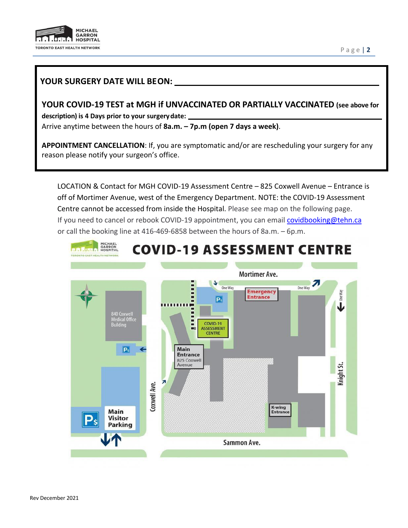

#### P a g e | **2**

#### **YOUR SURGERY DATE WILL BEON:**

**YOUR COVID-19 TEST at MGH if UNVACCINATED OR PARTIALLY VACCINATED (see above for description) is 4 Days prior to your surgerydate:** Arrive anytime between the hours of **8a.m. – 7p.m (open 7 days a week)**.

**APPOINTMENT CANCELLATION**: If, you are symptomatic and/or are rescheduling your surgery for any reason please notify your surgeon's office.

LOCATION & Contact for MGH COVID-19 Assessment Centre – 825 Coxwell Avenue – Entrance is off of Mortimer Avenue, west of the Emergency Department. NOTE: the COVID-19 Assessment Centre cannot be accessed from inside the Hospital. Please see map on the following page. If you need to cancel or rebook COVID-19 appointment, you can emai[l covidbooking@tehn.ca](mailto:covidbooking@tehn.ca) or call the booking line at 416-469-6858 between the hours of 8a.m. – 6p.m.

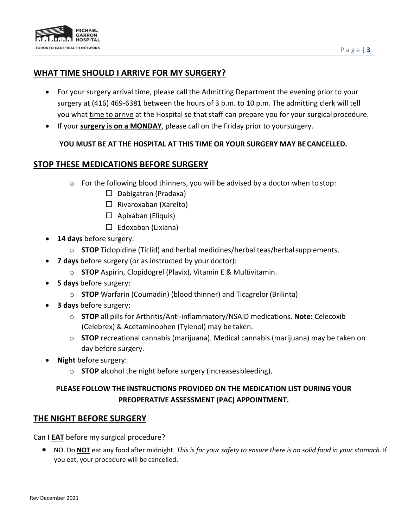

#### **WHAT TIME SHOULD I ARRIVE FOR MY SURGERY?**

- For your surgery arrival time, please call the Admitting Department the evening prior to your surgery at (416) 469-6381 between the hours of 3 p.m. to 10 p.m. The admitting clerk will tell you what time to arrive at the Hospital so that staff can prepare you for your surgicalprocedure.
- If your **surgery is on a MONDAY**, please call on the Friday prior to yoursurgery.

#### **YOU MUST BE AT THE HOSPITAL AT THIS TIME OR YOUR SURGERY MAY BECANCELLED.**

#### **STOP THESE MEDICATIONS BEFORE SURGERY**

- o For the following blood thinners, you will be advised by a doctor when to stop:
	- $\Box$  Dabigatran (Pradaxa)
	- $\Box$  Rivaroxaban (Xarelto)
	- $\Box$  Apixaban (Eliquis)
	- $\Box$  Edoxaban (Lixiana)
- **14 days** before surgery:
	- o **STOP** Ticlopidine (Ticlid) and herbal medicines/herbal teas/herbalsupplements.
- **7 days** before surgery (or as instructed by your doctor):
	- o **STOP** Aspirin, Clopidogrel (Plavix), Vitamin E & Multivitamin.
- **5 days** before surgery:
	- o **STOP** Warfarin (Coumadin) (blood thinner) and Ticagrelor(Brilinta)
- **3 days** before surgery:
	- o **STOP** all pills for Arthritis/Anti-inflammatory/NSAID medications. **Note:** Celecoxib (Celebrex) & Acetaminophen (Tylenol) may be taken.
	- o **STOP** recreational cannabis (marijuana). Medical cannabis (marijuana) may be taken on day before surgery.
- **Night** before surgery:
	- o **STOP** alcohol the night before surgery (increasesbleeding).

## **PLEASE FOLLOW THE INSTRUCTIONS PROVIDED ON THE MEDICATION LIST DURING YOUR PREOPERATIVE ASSESSMENT (PAC) APPOINTMENT.**

#### **THE NIGHT BEFORE SURGERY**

Can I **EAT** before my surgical procedure?

• NO. Do **NOT** eat any food after midnight. *This is for your safety to ensure there is no solid food in your stomach.* If you eat, your procedure will be cancelled.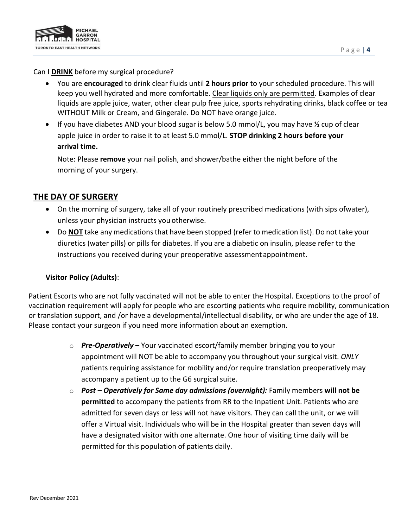

Can I **DRINK** before my surgical procedure?

- You are **encouraged** to drink clear fluids until **2 hours prior** to your scheduled procedure. This will keep you well hydrated and more comfortable. Clear liquids only are permitted. Examples of clear liquids are apple juice, water, other clear pulp free juice, sports rehydrating drinks, black coffee or tea WITHOUT Milk or Cream, and Gingerale. Do NOT have orange juice.
- If you have diabetes AND your blood sugar is below 5.0 mmol/L, you may have  $\frac{1}{2}$  cup of clear apple juice in order to raise it to at least 5.0 mmol/L. **STOP drinking 2 hours before your arrival time.**

Note: Please **remove** your nail polish, and shower/bathe either the night before of the morning of your surgery.

## **THE DAY OF SURGERY**

- On the morning of surgery, take all of your routinely prescribed medications (with sips ofwater), unless your physician instructs you otherwise.
- Do **NOT** take any medications that have been stopped (refer to medication list). Do not take your diuretics (water pills) or pills for diabetes. If you are a diabetic on insulin, please refer to the instructions you received during your preoperative assessment appointment.

#### **Visitor Policy (Adults)**:

Patient Escorts who are not fully vaccinated will not be able to enter the Hospital. Exceptions to the proof of vaccination requirement will apply for people who are escorting patients who require mobility, communication or translation support, and /or have a developmental/intellectual disability, or who are under the age of 18. Please contact your surgeon if you need more information about an exemption.

- o *Pre-Operatively*  Your vaccinated escort/family member bringing you to your appointment will NOT be able to accompany you throughout your surgical visit. *ONLY p*atients requiring assistance for mobility and/or require translation preoperatively may accompany a patient up to the G6 surgical suite.
- o *Post – Operatively for Same day admissions (overnight):* Family members **will not be permitted** to accompany the patients from RR to the Inpatient Unit. Patients who are admitted for seven days or less will not have visitors. They can call the unit, or we will offer a Virtual visit. Individuals who will be in the Hospital greater than seven days will have a designated visitor with one alternate. One hour of visiting time daily will be permitted for this population of patients daily.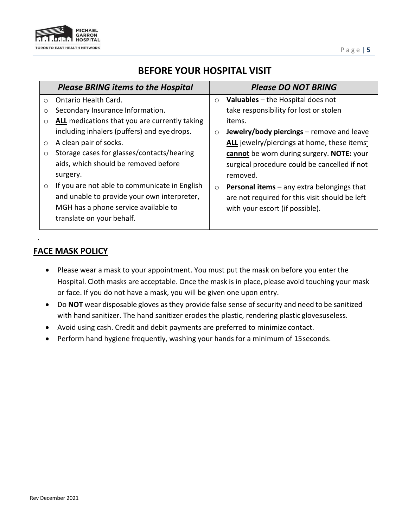

# **BEFORE YOUR HOSPITAL VISIT**

|         | <b>Please BRING items to the Hospital</b>     |         | <b>Please DO NOT BRING</b>                          |
|---------|-----------------------------------------------|---------|-----------------------------------------------------|
| $\circ$ | Ontario Health Card.                          | $\circ$ | <b>Valuables</b> – the Hospital does not            |
| $\circ$ | Secondary Insurance Information.              |         | take responsibility for lost or stolen              |
| $\circ$ | ALL medications that you are currently taking |         | items.                                              |
|         | including inhalers (puffers) and eye drops.   | $\circ$ | Jewelry/body piercings – remove and leave           |
| $\circ$ | A clean pair of socks.                        |         | ALL jewelry/piercings at home, these items          |
| $\circ$ | Storage cases for glasses/contacts/hearing    |         | cannot be worn during surgery. NOTE: your           |
|         | aids, which should be removed before          |         | surgical procedure could be cancelled if not        |
|         | surgery.                                      |         | removed.                                            |
| $\circ$ | If you are not able to communicate in English | $\circ$ | <b>Personal items</b> $-$ any extra belongings that |
|         | and unable to provide your own interpreter,   |         | are not required for this visit should be left      |
|         | MGH has a phone service available to          |         | with your escort (if possible).                     |
|         | translate on your behalf.                     |         |                                                     |
|         |                                               |         |                                                     |

#### **FACE MASK POLICY**

.

- Please wear a mask to your appointment. You must put the mask on before you enter the Hospital. Cloth masks are acceptable. Once the mask is in place, please avoid touching your mask or face. If you do not have a mask, you will be given one upon entry.
- Do **NOT** wear disposable gloves asthey provide false sense of security and need to be sanitized with hand sanitizer. The hand sanitizer erodes the plastic, rendering plastic glovesuseless.
- Avoid using cash. Credit and debit payments are preferred to minimize contact.
- Perform hand hygiene frequently, washing your hands for a minimum of 15seconds.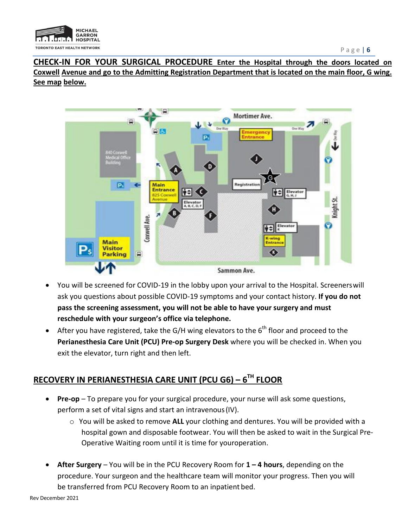

**CHECK-IN FOR YOUR SURGICAL PROCEDURE Enter the Hospital through the doors located on Coxwell Avenue and go to the Admitting Registration Department that is located on the main floor, G wing. See map below.**



- You will be screened for COVID-19 in the lobby upon your arrival to the Hospital. Screenerswill ask you questions about possible COVID-19 symptoms and your contact history. **If you do not pass the screening assessment, you will not be able to have your surgery and must reschedule with your surgeon's office via telephone.**
- After you have registered, take the G/H wing elevators to the  $6<sup>th</sup>$  floor and proceed to the **Perianesthesia Care Unit (PCU) Pre-op Surgery Desk** where you will be checked in. When you exit the elevator, turn right and then left.

# **RECOVERY IN PERIANESTHESIA CARE UNIT (PCU G6) – 6TH FLOOR**

- **Pre-op**  To prepare you for your surgical procedure, your nurse will ask some questions, perform a set of vital signs and start an intravenous(IV).
	- o You will be asked to remove **ALL** your clothing and dentures. You will be provided with a hospital gown and disposable footwear. You will then be asked to wait in the Surgical Pre-Operative Waiting room until it is time for youroperation.
- **After Surgery**  You will be in the PCU Recovery Room for **1 – 4 hours**, depending on the procedure. Your surgeon and the healthcare team will monitor your progress. Then you will be transferred from PCU Recovery Room to an inpatient bed.